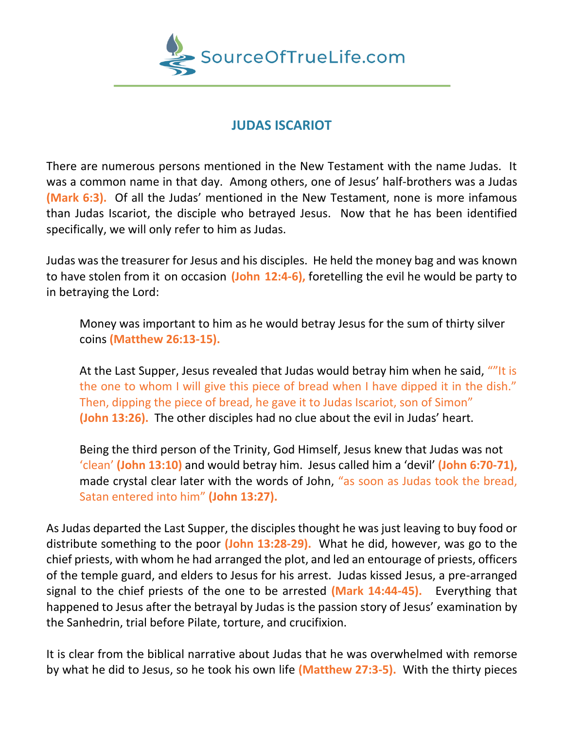

## **JUDAS ISCARIOT**

There are numerous persons mentioned in the New Testament with the name Judas. It was a common name in that day. Among others, one of Jesus' half-brothers was a Judas **(Mark 6:3).** Of all the Judas' mentioned in the New Testament, none is more infamous than Judas Iscariot, the disciple who betrayed Jesus. Now that he has been identified specifically, we will only refer to him as Judas.

Judas was the treasurer for Jesus and his disciples. He held the money bag and was known to have stolen from it on occasion **(John 12:4-6),** foretelling the evil he would be party to in betraying the Lord:

Money was important to him as he would betray Jesus for the sum of thirty silver coins **(Matthew 26:13-15).**

At the Last Supper, Jesus revealed that Judas would betray him when he said, ""It is the one to whom I will give this piece of bread when I have dipped it in the dish." Then, dipping the piece of bread, he gave it to Judas Iscariot, son of Simon" **(John 13:26).** The other disciples had no clue about the evil in Judas' heart.

Being the third person of the Trinity, God Himself, Jesus knew that Judas was not 'clean' **(John 13:10)** and would betray him. Jesus called him a 'devil' **(John 6:70-71),**  made crystal clear later with the words of John, "as soon as Judas took the bread, Satan entered into him" **(John 13:27).** 

As Judas departed the Last Supper, the disciples thought he was just leaving to buy food or distribute something to the poor **(John 13:28-29).** What he did, however, was go to the chief priests, with whom he had arranged the plot, and led an entourage of priests, officers of the temple guard, and elders to Jesus for his arrest. Judas kissed Jesus, a pre-arranged signal to the chief priests of the one to be arrested **(Mark 14:44-45).** Everything that happened to Jesus after the betrayal by Judas is the passion story of Jesus' examination by the Sanhedrin, trial before Pilate, torture, and crucifixion.

It is clear from the biblical narrative about Judas that he was overwhelmed with remorse by what he did to Jesus, so he took his own life **(Matthew 27:3-5).** With the thirty pieces